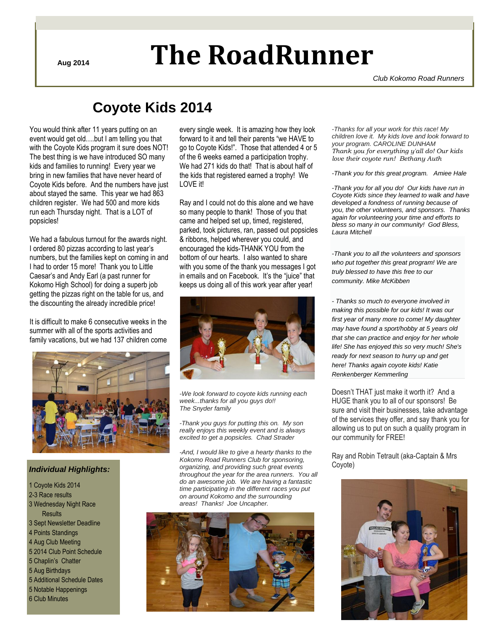# **Aug <sup>2014</sup> The RoadRunner**

*Club Kokomo Road Runners*

## **Coyote Kids 2014**

You would think after 11 years putting on an event would get old….but I am telling you that with the Coyote Kids program it sure does NOT! The best thing is we have introduced SO many kids and families to running! Every year we bring in new families that have never heard of Coyote Kids before. And the numbers have just about stayed the same. This year we had 863 children register. We had 500 and more kids run each Thursday night. That is a LOT of popsicles!

We had a fabulous turnout for the awards night. I ordered 80 pizzas according to last year's numbers, but the families kept on coming in and I had to order 15 more! Thank you to Little Caesar's and Andy Earl (a past runner for Kokomo High School) for doing a superb job getting the pizzas right on the table for us, and the discounting the already incredible price!

It is difficult to make 6 consecutive weeks in the summer with all of the sports activities and family vacations, but we had 137 children come



#### *Individual Highlights:*

1 Coyote Kids 2014 2-3 Race results 3 Wednesday Night Race **Results** 3 Sept Newsletter Deadline 4 Points Standings 4 Aug Club Meeting 5 2014 Club Point Schedule 5 Chaplin's Chatter 5 Aug Birthdays 5 Additional Schedule Dates 5 Notable Happenings 6 Club Minutes

every single week. It is amazing how they look forward to it and tell their parents "we HAVE to go to Coyote Kids!". Those that attended 4 or 5 of the 6 weeks earned a participation trophy. We had 271 kids do that! That is about half of the kids that registered earned a trophy! We LOVE it!

Ray and I could not do this alone and we have so many people to thank! Those of you that came and helped set up, timed, registered, parked, took pictures, ran, passed out popsicles & ribbons, helped wherever you could, and encouraged the kids-THANK YOU from the bottom of our hearts. I also wanted to share with you some of the thank you messages I got in emails and on Facebook. It's the "juice" that keeps us doing all of this work year after year!



*-We look forward to coyote kids running each week...thanks for all you guys do!! The Snyder family*

*-Thank you guys for putting this on. My son really enjoys this weekly event and is always excited to get a popsicles. Chad Strader*

*-And, I would like to give a hearty thanks to the Kokomo Road Runners Club for sponsoring, organizing, and providing such great events throughout the year for the area runners. You all do an awesome job. We are having a fantastic time participating in the different races you put on around Kokomo and the surrounding areas! Thanks! Joe Uncapher.*



*-Thanks for all your work for this race! My children love it. My kids love and look forward to your program. CAROLINE DUNHAM Thank you for everything y'all do! Our kids love their coyote run! Bethany Auth*

*-Thank you for this great program. Amiee Hale*

*-Thank you for all you do! Our kids have run in Coyote Kids since they learned to walk and have developed a fondness of running because of you, the other volunteers, and sponsors. Thanks again for volunteering your time and efforts to bless so many in our community! God Bless, Laura Mitchell*

*-Thank you to all the volunteers and sponsors who put together this great program! We are truly blessed to have this free to our community. Mike McKibben*

*- Thanks so much to everyone involved in making this possible for our kids! It was our first year of many more to come! My daughter may have found a sport/hobby at 5 years old that she can practice and enjoy for her whole life! She has enjoyed this so very much! She's ready for next season to hurry up and get here! Thanks again coyote kids[! Katie](https://www.facebook.com/katie.renkenbergerkemmerling?fref=ufi)  [Renkenberger Kemmerling](https://www.facebook.com/katie.renkenbergerkemmerling?fref=ufi)*

Doesn't THAT just make it worth it? And a HUGE thank you to all of our sponsors! Be sure and visit their businesses, take advantage of the services they offer, and say thank you for allowing us to put on such a quality program in our community for FREE!

Ray and Robin Tetrault (aka-Captain & Mrs Coyote)

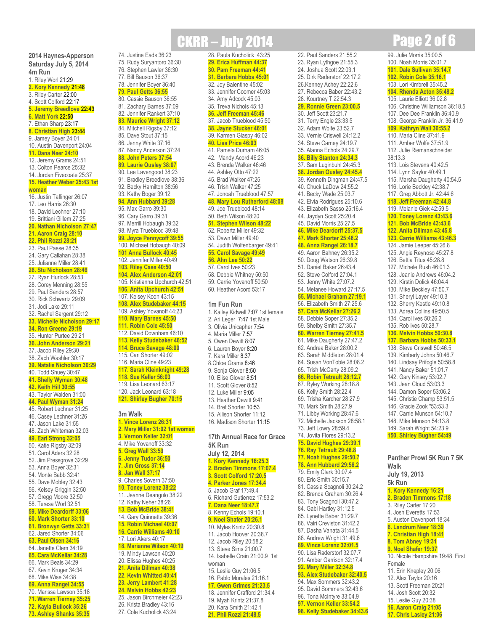**2014 Haynes-Apperson Saturday July 5, 2014 4m Run** 1. Riley Worl 21:29

74. Justine Eads 36:23 75. Rudy Suryantoro 36:30 76. Stephen Lawler 36:30 77. Bill Bauson 36:37 78. Jennifer Boyer 36:40 **79. Paul Getts 36:55** 80. Cassie Bauson 36:55 81. Zachary Barnes 37:09 82. Jennifer Rankert 37:10 **83. Maurice Wright 37:12** 84. Mitchell Rigsby 37:12 85. Dave Stout 37:15 86. Jenny White 37:16 87. Nancy Anderson 37:24 **88. John Peters 37:54 89. Laurie Ousley 38:07** 90. Lee Lavengood 38:23 91. Bradley Breedlove 38:36 92. Becky Hamilton 38:56 93. Kathy Boger 39:12 **94. Ann Hubbard 39:28** 95. Max Garro 39:30 96. Cary Garro 39:31 97. Merrill Hobaugh 39:32 98. Myra Trueblood 39:48 **99. Joyce Pennycoff 39:55** 100. Michael Hobaugh 40:09 **101 Anna Bullock 40:45** 102. Jennifer Miller 40:49 **103. Riley Case 40:50 104. Alex Anderson 42:01** 105. Kristianna Upchurch 42:51 **106. Anita Upchurch 42:51** 107. Kelsey Koon 43:15 **108. Alex Studebaker 44:15** 109. Ashley Yovanoff 44:23 **110. Mary Barnes 45:50 111. Robin Cole 45:50** 112. David Downham 46:10 **113. Kelly Studebaker 46:52 114. Bruce Savage 48:00** 115. Cari Shorter 49:02 116. Maria Cline 49:23 **117. Sarah Kleinknight 49:28 118. Sue Keller 56:03** 119. Lisa Leonard 63:17 120. Jack Leonard 63:18 **121. Shirley Bugher 70:15**

**3m Walk**

**1. Vince Lorenz 26:31 2. Mary Miller 31:02 1st woman 3. Vernon Keller 32:01** 4. Mike Yovanoff 33:32 **5. Greg Wall 33:59 6. Jenny Tudor 36:50 7. Jim Gross 37:14 8. Jan Wall 37:17** 9. Charles Sovern 37:50 **10. Toney Lorenz 38:22** 11. Jeanne Deangulo 38:22 12. Kathy Neher 38:26 **13. Bob McBride 38:41** 14. Gary Quinnette 39:36 **15. Robin Michael 40:07 16. Carrie Williams 40:10** 17. Lori Akers 40:17 **18. Marianne Wilson 40:19** 19. Mindy Lawson 40:20 20. Elissa Hughes 40:25 **21. Anita Dillman 40:38 22. Kevin Whitted 40:41 23. Jerry Lambert 41:28 24. Melvin Hobbs 42:23** 25. Jason Birchmeier 42:23 26. Krista Bradley 43:16 27. Cole Kucholick 43:24

**CKRR – July 2014 <b>Page 2 of 6** 

22. Paul Sanders 21:55.2 23. Ryan Lythgoe 21:55.3 24. Joshua Scott 22:03.1 25. Dirk Raderstorf 22:17.2 26.Kenney Achey 22:22.6 27. Rebecca Baber 22:43.2 28. Kourtney T 22:54.3 **29. Ronnie Green 23:00.5** 30. Jeff Scott 23:21.7 31. Terry Engle 23:33.5 32. Adam Wolfe 23:52.7 33. Vernie Criswell 24:12.2 34. Steve Carney 24:19.7 35. Alanna Echols 24:29.7 **36. Billy Stanton 24:34.3** 37. Sam Luginbuhl 24:45.3 **38. Jordan Ousley 24:45.4** 39. Kenneth Dingman 24:47.5 40. Chuck LaDow 24:55.2 41. Becky Wade 25:03.7 42. Elvia Rodrigues 25:10.6 43. Elizabeth Sasso 25:16.4 44. Jaydyn Scott 25:20.4 45. David Morris 25:27.5 **46. Mike Deardorff 25:37.5 47. Mark Shorter 25:46.2 48. Anna Rangel 26:18.7** 49. Aaron Bahney 26:35.2 50. Doug Watson 26:39.8 51. Daniel Baker 26:43.4 52. Steve Colford 27:04.1 53. Jenny White 27:07.2 54. Melanee Howard 27:17.5 **55. Michael Graham 27:19.1** 56. Elizabeth Smith 27:25.6 **57. Cara McKellar 27:26.2** 58. Debbie Soper 27:35.2 59. Shelby Smith 27:35.7 **60. Warren Tierney 27:41.5** 61. Mike Daugherty 27:47.2 62. Andrea Baker 28:00.2 63. Sarah Middleton 28:01.4 64. Susan VonToble 28:08.2 65. Trish McCarty 28:09.2 **66. Robin Tetrault 28:12.7** 67. Ryley Working 28:18.8 68. Kelly Smith 28:22.4 69. Trisha Karcher 28:27.9 70. Mark Smith 28:27.9 71. Libby Working 28:47.6 72. Michelle Jackson 28:58.1 73. Jeff Lowry 28:59.4 74. Jovita Flores 29:13.2 **75. David Hughes 29:39.1 76. Ray Tetrault 29:48.8 77. Noah Hughes 29:50.7 78. Ann Hubbard 29:56.2** 79. Emily Clark 30:07.4 80. Eric Smith 30:15.7 81. Cassia Scagnoli 30:24.2 82. Brenda Graham 30:26.4 83. Tony Scagnoli 30:47.2 84. Gabi Hartley 31:12.5 85. Lynette Baber 31:29.7 86. Valri Creviston 31:42.2 87. Dasha Vanata 31:44.5 88. Andrew Wright 31:49.6 **89. Vince Lorenz 32:01.5** 90. Lisa Raderstorf 32:07.7 91. Amber Garrison 32:17.4 **92. Mary Miller 32:34.8 93. Alex Studebaker 32:40.5** 94. Max Sommers 32:43.2 95. David Sommers 32:43.6 96. Tona McIntyre 33:04.9 **97. Vernon Keller 33:54.2 98. Kelly Studebaker 34:43.6** 99. Julie Morris 35:00.5 100. Noah Morris 35:01.7 **101. Dale Sullivan 35:14.7 102. Robin Cole 35:16.1** 103. Lori Kimbrell 35:45.2 **104. Rhenda Acton 35:48.2** 105. Laurie Elliott 36:02.8 106. Christine Williamson 36:18.5 107. Dee Dee Franklin 36:40.9 108. George Franklin Jr. 36:41.9 **109. Kathryn Wall 36:55.2** 110. Maria Cline 37:41.9 111. Amber Wolfe 37:51.9 112. Julie Riemanschneider

38:13.3

113. Lois Stevens 40:42.5 114. Lynn Saylor 40:49.1 115. Marsha Daugherty 40:54.5 116. Lorie Beckley 42:38.7 117. Greg Abbott Jr. 42:44.6 **118. Jeff Freeman 42:44.8** 119. Melanie Giek 42:59.5 **120. Toney Lorenz 43:43.6 121. Bob McBride 43:43.6 122. Anita Dillman 43:45.8 123. Carrie Williams 43:46.3** 124. Jamie Leeper 45:26.8 125. Angie Reynoso 45:27.8 126. Bettia Titus 45:28.8 127. Michele Rush 46:01.3 128. Jeanie Andrews 46:04.2 129. Kirstin Dolick 46:04.4 130. Mike Beckley 47:50.7 131. Sheryl Layer 49:10.3 132. Sherry Kestle 49:10.8 133. Adrea Collins 49:50.5 134. Carol Ives 50:26.3 135. Rob Ives 50:28.7 **136. Melvin Hobbs 50:30.8 137. Barbara Hobbs 50:33.1** 138. Steve Criswell 50:46.5 139. Kimberly Johns 50:46.7 140. Lindsay Prifogle 50:58.8 141. Nancy Baker 51:01.7 142. Gary Kinsey 53:02.7 143. Jean Cloud 53:03.3 144. Damon Soper 53:06.2 145. Christie Champ 53:51.5 146. Gracie Zook "53:53.3 147. Carrie Munson 54:10.7 148. Mike Munson 54:13.8 149. Sarah Wright 54:23.9 **150. Shirley Bugher 54:49**

**Panther Prowl 5K Run 7 5K** 

10. Nicole Hampshire 19:48 First

11. Erin Knepley 20:06 12. Alex Taylor 20:16 13. Scott Freeman 20:21 14. Josh Scott 20:32 15. Leslie Guy 20:38 **16. Aaron Craig 21:05 17. Chris Lasley 21:06**

**1. Kory Kennedy 16:21 2. Braden Timmons 17:18** 3. Riley Carter 17:20 4. Josh Everetts 17:53 5. Auston Davenport 18:34 **6. Landrum Neer 18:39 7. Christian High 18:41 8. Tom Abney 19:31 9. Noel Shafer 19:37**

**Walk July 19, 2013 5k Run**

Female

28. Paula Kucholick 43:25 **29. Erica Huffman 44:37 30. Pam Freeman 44:41 31. Barbara Hobbs 45:01** 32. Joy Balentine 45:02 33. Jennifer Coomer 45:03 34. Amy Adcock 45:03 35. Treva Nichols 45:13 **36. Jeff Freeman 45:46** 37. Jacob Trueblood 45:50 **38. Jayne Stucker 46:01** 39. Karmen Glaspy 46:02 **40. Lisa Price 46:03** 41. Pamela Durham 46:05 42. Mandy Acord 46:23 43. Brenda Walker 46:46 44. Ashley Otto 47:22 45. Brad Walker 47:25 46. Trish Walker 47:25 47. Jonoah Trueblood 47:57 **48. Mary Lou Rutherford 48:08** 49. Joe Trueblood 48:14 50. Beth Wilson 48:20 **51. Stephen Wilson 48:22** 52. Roberta Miller 49:32 53. Dawn Miller 49:40 54. Judith Wolfenbarger 49:41 **55. Carol Savage 49:49 56. Ahn Lee 50:22** 57. Carol Ives 50:23 58. Debbie Whitney 50:50 59. Carrie Yovanoff 50:50 60. Heather Acord 53:17

**1m Fun Run**

1. Kailey Kidwell 7:07 1st female 2. Ari Leger 7:47 1st Male 3. Olivia Unicapher 7:54 4. Maria Miller 7:57 5. Owen Dewitt 8:07 6. Lauren Boyer 8:20 7. Kara Miller 8:37 8.Chloe Grams 8:46 9. Sonja Glover 8:50 10. Elise Glover 8:51 11. Scott Glover 8:52 12. Luke Miller 9:05 13. Heather Dewitt 9:41 14. Bret Shorter 10:53 15. Allison Shorter 11:12 16. Madison Shorter 11:15

**17th Annual Race for Grace** 

**5K Run July 12, 2014 1. Kory Kennedy 16:25.3 2. Braden Timmons 17:07.4 3. Scott Colford 17:20.5 4. Parker Jones 17:34.4** 5. Jacob Graf 17:49.4 6. Richard Gutierrez 17:53.2 **7. Dana Neer 18:47.7** 8. Kenny Echols 19:10.1 **9. Noel Shafer 20:26.1** 10. Myles Krintz 20:30.8 11. Jacob Hoover 20:38.7 12. Jacob Riley 20:58.2 13. Steve Sims 21:00.7 14. Isabelle Crain 21:00.9 1st

woman

15. Leslie Guy 21:06.5 16. Pablo Morales 21:16.1 **17. Gwen Grimes 21:23.5** 18. Jennifer Crafford 21:34.4 19. Myah Krintz 21:37.8 20. Kara Smith 21:42.1 **21. Phil Rozzi 21:48.5**

- **2. Kory Kennedy 21:48**
- 3. Riley Carter 22:00
- 4. Scott Colford 22:17
- **5. Jeremy Breedlove 22:43**
- **6. Matt York 22:50**
- 7. Ethan Sharp 23:17
- **8. Christian High 23:44**
- 9. Jamey Boyer 24:01
- 10. Austin Davenport 24:04
- **11. Dana Neer 24:10**
- 12. Jeremy Grams 24:51
- 13. Colton Pearce 25:32
- 14. Jordan Fivecoate 25:37
- **15. Heather Weber 25:43 1st**
- **woman** 16. Justin Taflinger 26:07
- 17. Leo Harris 26:30
- 18. David Lechner 27:10
- 19. Brittiani Gillem 27:25
- **20. Nathan Nicholson 27:47**
- **21. Aaron Craig 28:10**
- 
- 
- 
- 
- 
- 
- 
- 
- 
- 
- 
- 
- 24. Gary Callahan 28:38
- 
- 
- 
- 
- 
- 
- 
- 
- 
- 
- 
- 
- 
- 
- 
- 
- 
- 
- 

- 
- 
- 
- 
- 
- 
- 
- 
- 
- 
- 
- 
- 
- 
- 
- 

- 
- 

- **22. Phil Rozzi 28:21**
- 
- 
- 
- 
- 23. Paul Paese 28:35

25. Julianne Miller 28:41 **26. Stu Nicholson 28:46** 27. Ryan Hurlock 28:53 28. Corey Menning 28:55 29. Paul Sanders 28:57 30. Rick Schwartz 29:09 31. Jodi Lake 29:11 32. Rachel Sargent 29:12 **33. Michelle Nicholson 29:17 34. Ron Greene 29:19** 35. Hunter Purtee 29:21 **36. John Anderson 29:21** 37. Jacob Riley 29:30 38. Zach Washler 30:17 **39. Natalie Nicholson 30:29** 40. Todd Shuey 30:47 **41. Shelly Wyman 30:48 42. Keith Hill 30:55** 43. Taylor Walden 31:00 **44. Paul Wyman 31:24** 45. Robert Lechner 31:25 46. Casey Lechner 31:26 47. Jason Lake 31:55 48. Zach Whiteman 32:03 **49. Earl Strong 32:05** 50. Katie Rigsby 32:09 51. Carol Aders 32:28 52. Jim Pressgrove 32:29 53. Anna Boyer 32:31 54. Monte Babb 32:41 55. Dave Mobley 32:43 56. Kelsey Griggin 32:50 57. Gregg Moore 32:50 58. Teresa Worl 32:51 **59. Mike Deardorff 33:06 60. Mark Shorter 33:10 61. Bronwyn Getts 33:31** 62. Jared Shorter 34:06 **63. Paul Olsen 34:16** 64. Janette Clem 34:19 **65. Cara McKellar 34:28** 66. Mark Beals 34:29 67. Kevin Kruger 34:34 68. Mike Wise 34:38 **69. Anna Rangel 34:55** 70. Marissa Lawson 35:18 **71. Warren Tierney 35:25 72. Kayla Bullock 35:26 73. Ashley Shanks 35:35**

- 
- 
-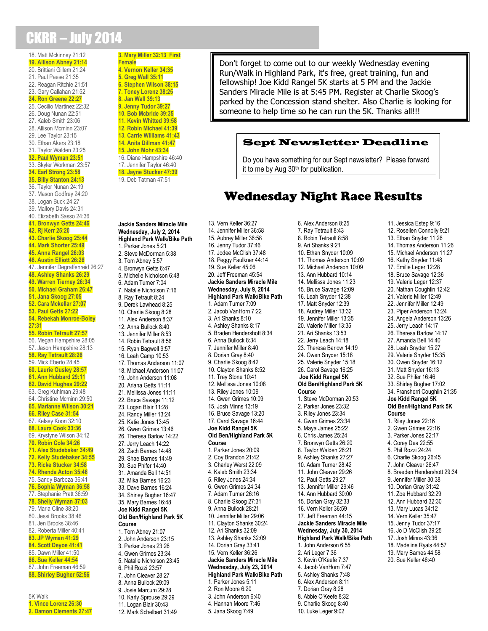## CKRR – July 2014

18. Matt Mckinney 21:12 **19. Allison Abney 21:14** 20. Brittiani Gillem 21:24 21. Paul Paese 21:35 22. Reagan Ritchie 21:51 23. Gary Callahan 21:52 **24. Ron Greene 22:27** 25. Cecilio Martinez 22:32 26. Doug Nunan 22:51 27. Kaleb Smith 23:06 28. Allison Mcminn 23:07 29. Lee Taylor 23:15 30. Ethan Akers 23:18 31. Taylor Walden 23:25 **32. Paul Wyman 23:51** 33. Skyler Workman 23:57 **34. Earl Strong 23:58 35. Billy Stanton 24:13** 36. Taylor Nunan 24:19 37. Mason Godfrey 24:20 38. Logan Buck 24:27 39. Mallory Davis 24:31 40. Elizabeth Sasso 24:36 **41. Bronwyn Getts 24:46 42. Rj Kerr 25:20 43. Charlie Skoog 25:44 44. Mark Shorter 25:49 45. Anna Rangel 26:03 46. Austin Elliott 26:26** 47. Jennifer Degraffenreid 26:27 **48. Ashley Shanks 26:29 49. Warren Tierney 26:34 50. Michael Graham 26:47 51. Jana Skoog 27:05 52. Cara Mckellar 27:07 53. Paul Getts 27:22 54. Rebekah Monroe-Boley 27:31 55. Robin Tetrault 27:57** 56. Megan Hampshire 28:05 57. Jason Hampshire 28:13 **58. Ray Tetrault 28:26** 59. Mick Eberto 28:45 **60. Laurie Ousley 28:57 61. Ann Hubbard 29:11 62. David Hughes 29:22** 63. Greg Kuhlman 29:48 64. Christine Mcminn 29:50 **65. Marianne Wilson 30:21 66. Riley Case 31:54** 67. Kelsey Koon 32:10 **68. Laura Cook 33:36** 69. Krystyne Wilson 34:12 **70. Robin Cole 34:26 71. Alex Studebaker 34:49 72. Kelly Studebaker 34:55 73. Ricke Stucker 34:58 74. Rhenda Acton 35:46** 75. Sandy Barboza 36:41 **76. Sophia Wyman 36:58** 77. Stephanie Pratt 36:59 **78. Shelly Wyman 37:03** 79. Maria Cline 38:20 80. Jessi Brooks 38:46 81. Jen Brooks 38:46 82. Roberta Miller 40:41 **83. JP Wyman 41:29 84. Scott Deyoe 41:41** 85. Dawn Miller 41:50 **86. Sue Keller 44:54** 87. John Freeman 46:59 **88. Shirley Bugher 52:56** 5K Walk **1. Vince Lorenz 26:30**

**2. Damon Clements 27:47**

**3. Mary Miller 32:13 First Female 4. Vernon Keller 34:35 5. Greg Wall 35:11 6. Stephen Wilson 38:15 7. Toney Lorenz 38:25 8. Jan Wall 39:13 9. Jenny Tudor 39:27 10. Bob Mcbride 39:35 11. Kevin Whitted 39:58 12. Robin Michael 41:39 13. Carrie Williams 41:43 14. Anita Dillman 41:47 15. John Mohr 43:34** 16. Diane Hampshire 46:40 17. Jennifer Taylor 46:40 **18. Jayne Stucker 47:39** 19. Deb Tatman 47:51 **Jackie Sanders Miracle Mile Wednesday, July 2, 2014 Highland Park Walk/Bike Path** 1. Parker Jones 5:21 2. Steve McDorman 5:38 3. Tom Abney 5:57 4. Bronwyn Getts 6:47 5. Michelle Nicholson 6:48 6. Adam Turner 7:04 7. Natalie Nicholson 7:16 8. Ray Tetrault 8:24 9. Derek Lawhead 8:25 10. Charlie Skoog 8:28 11. Alex Anderson 8:37 12. Anna Bullock 8:40 13. Jennifer Miller 8:53 14. Robin Tetrault 8:56

15. Ryan Bagwell 9:57 16. Leah Camp 10:53 17. Thomas Anderson 11:07 18. Michael Anderson 11:07 19. John Anderson 11:08 20. Ariana Getts 11:11 21. Mellissa Jones 11:11 22. Bruce Savage 11:12 23. Logan Blair 11:28 24. Randy Miller 13:24 25. Katie Jones 13:45 26. Gwen Grimes 13:46 26. Theresa Barlow 14:22 27. Jerry Leach 14:22 28. Zach Barnes 14:48 29. Shae Barnes 14:49 30. Sue Phifer 14:40 31. Amanda Bell 14:51 32. Mika Barnes 16:23 33. Dave Barnes 16:24 34. Shirley Bugher 16:47 35. Mary Barnes 16:48 **Joe Kidd Rangel 5K Old Ben/Highland Park 5K Course** 1. Tom Abney 21:07 2. John Anderson 23:15 3. Parker Jones 23:26 4. Gwen Grimes 23:34 5. Natalie Nicholson 23:45 6. Phil Rozzi 23:57 7. John Cleaver 28:27 8. Anna Bullock 29:09

9. Josie Marcum 29:28 10. Karly Sprouse 29:29

11. Logan Blair 30:43

12. Mark Schelbert 31:49

Don't forget to come out to our weekly Wednesday evening Run/Walk in Highland Park, it's free, great training, fun and fellowship! Joe Kidd Rangel 5K starts at 5 PM and the Jackie Sanders Miracle Mile is at 5:45 PM. Register at Charlie Skoog's parked by the Concession stand shelter. Also Charlie is looking for someone to help time so he can run the 5K. Thanks all!!!

### Sept Newsletter Deadline

Do you have something for our Sept newsletter? Please forward it to me by Aug  $30<sup>th</sup>$  for publication.

### Wednesday Night Race Results

13. Vern Keller 36:27 14. Jennifer Miller 36:58 15. Aubrey Miller 36:58 16. Jenny Tudor 37:46 17. Jodee McClish 37:48 18. Peggy Faulkner 44:14 19. Sue Keller 45:06 20. Jeff Freeman 45:54 **Jackie Sanders Miracle Mile Wednesday, July 9, 2014 Highland Park Walk/Bike Path** 1. Adam Turner 7:09 2. Jacob VanHorn 7:22 3. Ari Shanks 8:10 4. Ashley Shanks 8:17 5. Braden Hendershott 8:34 6. Anna Bullock 8:34 7. Jennifer Miller 8:40 8. Dorian Gray 8:40 9. Charlie Skoog 8:42 10. Clayton Shanks 8:52 11. Trey Stone 10:41 12. Mellissa Jones 10:08 13. Riley Jones 10:09 14. Gwen Grimes 10:09 15. Josh Minns 13:19 16. Bruce Savage 13:20 17. Carol Savage 16:44 **Joe Kidd Rangel 5K Old Ben/Highland Park 5K Course** 1. Parker Jones 20:09 2. Coy Brandon 21:42 3. Charley Werst 22:09 4. Kaleb Smith 23:34 5. Riley Jones 24:34 6. Gwen Grimes 24:34 7. Adam Turner 26:16 8. Charlie Skoog 27:31 9. Anna Bullock 28:21 10. Jennifer Miller 29:06 11. Clayton Shanks 30:24 12. Ari Shanks 32:09 13. Ashley Shanks 32:09 14. Dorian Gray 33:41 15. Vern Keller 36:26 **Jackie Sanders Miracle Mile Wednesday, July 23, 2014 Highland Park Walk/Bike Path** 1. Parker Jones 5:11 2. Ron Moore 6:20 3. John Anderson 6:40 4. Hannah Moore 7:46 5. Jana Skoog 7:49

6. Alex Anderson 8:25 7. Ray Tetrault 8:43 8. Robin Tetrault 8:58 9. Ari Shanks 9:21 10. Ethan Snyder 10:09 11. Thomas Anderson 10:09 12. Michael Anderson 10:09 13. Ann Hubbard 10:14 14. Mellissa Jones 11:23 15. Bruce Savage 12:09 16. Leah Snyder 12:38 17. Matt Snyder 12:39 18. Audrey Miller 13:32 19. Jennifer Miller 13:35 20. Valerie Miller 13:35 21. Ari Shanks 13:53 22. Jerry Leach 14:18 23. Theresa Barlow 14:19 24. Owen Snyder 15:18 25. Valerie Snyder 15:18 26. Carol Savage 16:25 **Joe Kidd Rangel 5K Old Ben/Highland Park 5K Course** 1. Steve McDorman 20:53 2. Parker Jones 23:32 3. Riley Jones 23:34 4. Gwen Grimes 23:34 5. Maya James 25:22 6. Chris James 25:24 7. Bronwyn Getts 26:20 8. Taylor Walden 26:21 9. Ashley Shanks 27:27 10. Adam Turner 28:42 11. John Cleaver 29:26 12. Paul Getts 29:27 13. Jennifer Miller 29:46 14. Ann Hubbard 30:00 15. Dorian Gray 32:33 16. Vern Keller 36:59 17. Jeff Freeman 44:15 **Jackie Sanders Miracle Mile Wednesday, July 30, 2014 Highland Park Walk/Bike Path** 1. John Anderson 6:55 2. Ari Leger 7:36 3. Kevin O'Keefe 7:37 4. Jacob VanHorn 7:47 5. Ashley Shanks 7:48 6. Alex Anderson 8:11 7. Dorian Gray 8:28 8. Abbie O'Keefe 8:32 9. Charlie Skoog 8:40 10. Luke Leger 9:02

11. Jessica Estep 9:16 12. Rosellen Connolly 9:21 13. Ethan Snyder 11:26 14. Thomas Anderson 11:26 15. Michael Anderson 11:27 16. Kathy Snyder 11:48 17. Emilie Leger 12:28 18. Bruce Savage 12:36 19. Valerie Leger 12:37 20. Nathan Coughlin 12:42 21. Valerie Miller 12:49 22. Jennifer Miller 12:49 23. Piper Anderson 13:24 24. Angela Anderson 13:26 25. Jerry Leach 14:17 26. Theresa Barlow 14:17 27. Amanda Bell 14:40 28. Leah Snyder 15:27 29. Valerie Snyder 15:35 30. Owen Snyder 16:12 31. Matt Snyder 16:13 32. Sue Phifer 16:46 33. Shirley Bugher 17:02 34. Fransherri Coughlin 21:35 **Joe Kidd Rangel 5K Old Ben/Highland Park 5K Course** 1. Riley Jones 22:16 2. Gwen Grimes 22:16 3. Parker Jones 22:17 4. Corey Dea 22:55 5. Phil Rozzi 24:24 6. Charlie Skoog 26:45 7. John Cleaver 26:47 8. Braeden Hendershott 29:34 9. Jennifer Miller 30:38 10. Dorian Gray 31:42 11. Zoe Hubbard 32:29 12. Ann Hubbard 32:30 13. Mary Lucas 34:12 14. Vern Keller 35:47 15. Jenny Tudor 37:17 16. Jo D McClish 39:25 17. Josh Minns 43:36 18. Madeline Ryals 44:57 19. Mary Barnes 44:58 20. Sue Keller 46:40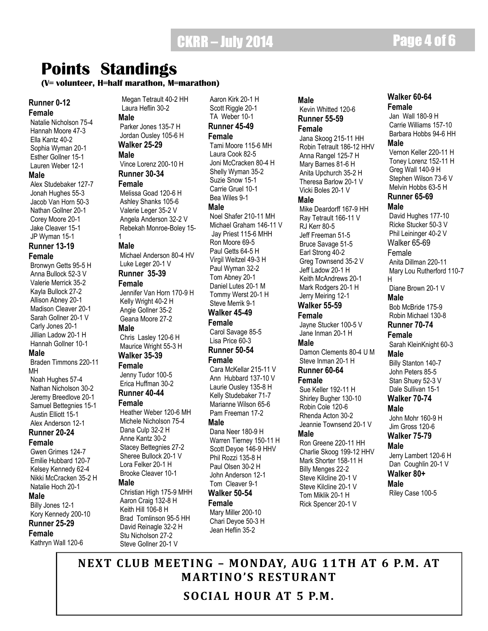## CKRR – July 2014 **Page 4 of 6**

## **Points Standings**

#### **(V= volunteer, H=half marathon, M=marathon)**

#### **Runner 0-12 Female**

Natalie Nicholson 75-4 Hannah Moore 47-3 Ella Kantz 40-2 Sophia Wyman 20-1 Esther Gollner 15-1 Lauren Weber 12-1 **Male**

Alex Studebaker 127-7 Jonah Hughes 55-3 Jacob Van Horn 50-3 Nathan Gollner 20-1 Corey Moore 20-1 Jake Cleaver 15-1 JP Wyman 15-1

#### **Runner 13-19 Female**

Bronwyn Getts 95-5 H

Anna Bullock 52-3 V Valerie Merrick 35-2 Kayla Bullock 27-2 Allison Abney 20-1 Madison Cleaver 20-1 Sarah Gollner 20-1 V Carly Jones 20-1 Jillian Ladow 20-1 H Hannah Gollner 10-1

#### **Male**

Braden Timmons 220-11 MH Noah Hughes 57-4 Nathan Nicholson 30-2 Jeremy Breedlove 20-1 Samuel Bettegnies 15-1 Austin Elliott 15-1

#### Alex Anderson 12-1 **Runner 20-24**

**Female**

### Gwen Grimes 124-7

Emilie Hubbard 120-7 Kelsey Kennedy 62-4 Nikki McCracken 35-2 H Natalie Hoch 20-1

#### **Male**

Billy Jones 12-1 Kory Kennedy 200-10 **Runner 25-29 Female**

Kathryn Wall 120-6

Megan Tetrault 40-2 HH Laura Heflin 30-2

#### **Male**

Parker Jones 135-7 H Jordan Ousley 105-6 H **Walker 25-29**

### **Male**

Vince Lorenz 200-10 H **Runner 30-34**

#### **Female**

Melissa Goad 120-6 H Ashley Shanks 105-6 Valerie Leger 35-2 V Angela Anderson 32-2 V Rebekah Monroe-Boley 15- 1

#### **Male**

Michael Anderson 80-4 HV Luke Leger 20-1 V

### **Runner 35-39**

**Female** Jennifer Van Horn 170-9 H Kelly Wright 40-2 H Angie Gollner 35-2 Geana Moore 27-2

#### **Male**

Chris Lasley 120-6 H Maurice Wright 55-3 H **Walker 35-39**

#### **Female**

Jenny Tudor 100-5 Erica Huffman 30-2 **Runner 40-44**

#### **Female**

Heather Weber 120-6 MH Michele Nicholson 75-4 Dana Culp 32-2 H Anne Kantz 30-2 Stacey Bettegnies 27-2 Sheree Bullock 20-1 V Lora Felker 20-1 H Brooke Cleaver 10-1 **Male** Christian High 175-9 MHH

Aaron Craig 132-8 H Keith Hill 106-8 H Brad Tomlinson 95-5 HH David Reinagle 32-2 H Stu Nicholson 27-2 Steve Gollner 20-1 V

Aaron Kirk 20-1 H Scott Riggle 20-1 TA Weber 10-1 **Runner 45-49**

#### **Female**

Tami Moore 115-6 MH Laura Cook 82-5 Joni McCracken 80-4 H Shelly Wyman 35-2 Suzie Snow 15-1 Carrie Gruel 10-1 Bea Wiles 9-1

#### **Male**

Noel Shafer 210-11 MH Michael Graham 146-11 V Jay Priest 115-6 MHH Ron Moore 69-5 Paul Getts 64-5 H Virgil Weitzel 49-3 H Paul Wyman 32-2 Tom Abney 20-1 Daniel Lutes 20-1 M Tommy Werst 20-1 H Steve Merrik 9-1

### **Walker 45-49**

**Female** Carol Savage 85-5 Lisa Price 60-3

#### **Runner 50-54 Female**

Cara McKellar 215-11 V Ann Hubbard 137-10 V Laurie Ousley 135-8 H Kelly Studebaker 71-7 Marianne Wilson 65-6 Pam Freeman 17-2

#### **Male**

Dana Neer 180-9 H Warren Tierney 150-11 H Scott Deyoe 146-9 HHV Phil Rozzi 135-8 H Paul Olsen 30-2 H John Anderson 12-1 Tom Cleaver 9-1 **Walker 50-54**

### **Female**

Mary Miller 200-10 Chari Deyoe 50-3 H Jean Heflin 35-2

**Male** Kevin Whitted 120-6 **Runner 55-59**

#### **Female**

Jana Skoog 215-11 HH Robin Tetrault 186-12 HHV Anna Rangel 125-7 H Mary Barnes 81-6 H Anita Upchurch 35-2 H Theresa Barlow 20-1 V Vicki Boles 20-1 V **Male**

Mike Deardorff 167-9 HH Ray Tetrault 166-11 V RJ Kerr 80-5 Jeff Freeman 51-5 Bruce Savage 51-5 Earl Strong 40-2 Greg Townsend 35-2 V Jeff Ladow 20-1 H Keith McAndrews 20-1 Mark Rodgers 20-1 H Jerry Meiring 12-1

#### **Walker 55-59 Female**

Jayne Stucker 100-5 V Jane Inman 20-1 H

#### **Male**

Damon Clements 80-4 U M Steve Inman 20-1 H **Runner 60-64**

### **Female**

Sue Keller 192-11 H Shirley Bugher 130-10 Robin Cole 120-6 Rhenda Acton 30-2 Jeannie Townsend 20-1 V

#### **Male**

Ron Greene 220-11 HH Charlie Skoog 199-12 HHV Mark Shorter 158-11 H Billy Menges 22-2 Steve Kilcline 20-1 V Steve Kilcline 20-1 V Tom Miklik 20-1 H Rick Spencer 20-1 V

#### **Walker 60-64 Female**

Jan Wall 180-9 H Carrie Williams 157-10 Barbara Hobbs 94-6 HH **Male** Vernon Keller 220-11 H Toney Lorenz 152-11 H Greg Wall 140-9 H Stephen Wilson 73-6 V Melvin Hobbs 63-5 H **Runner 65-69 Male** David Hughes 177-10 Ricke Stucker 50-3 V Phil Leininger 40-2 V Walker 65-69 Female Anita Dillman 220-11 Mary Lou Rutherford 110-7 H Diane Brown 20-1 V **Male** Bob McBride 175-9 Robin Michael 130-8 **Runner 70-74 Female** Sarah KleinKnight 60-3 **Male** Billy Stanton 140-7 John Peters 85-5 Stan Shuey 52-3 V Dale Sullivan 15-1 **Walker 70-74 Male** John Mohr 160-9 H Jim Gross 120-6 **Walker 75-79**

#### **Male**

Jerry Lambert 120-6 H Dan Coughlin 20-1 V **Walker 80+ Male** Riley Case 100-5

**NEXT CLUB MEETING – MONDAY, AUG 11TH AT 6 P.M. AT MARTINO'S RESTURANT SOCIAL HOUR AT 5 P.M.**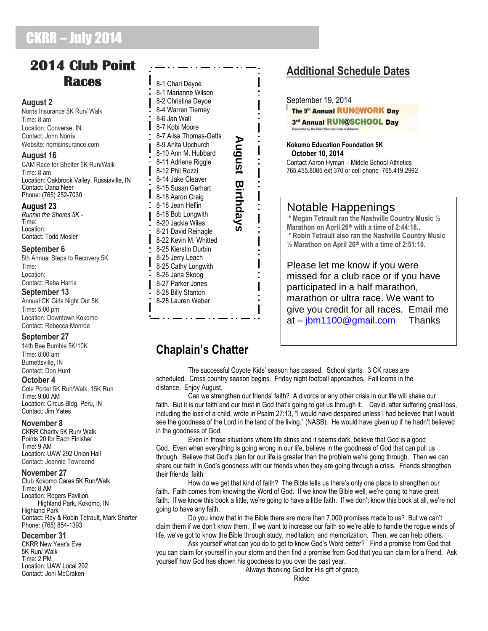## CKRR – July 2014

### **2014 Club Point Races**

#### **August 2**

Norris Insurance 5K Run/ Walk Time: 8 am Location: Converse, IN Contact: John Norris Website: norrisinsurance.com

#### **August 16**

CAM Race for Shelter 5K Run/Walk Time: 8 am Location: Oakbrook Valley, Russiaville, IN Contact: Dana Neer Phone: (765) 252-7030

#### **August 23**

*Runnin the Shores 5K -* Time: Location: Contact: Todd Mosier

#### **September 6**

5th Annual Steps to Recovery 5K Time: Location: Contact: Reba Harris

#### **September 13**

Annual CK Girls Night Out 5K Time: 5:00 pm Location: Downtown Kokomo Contact: Rebecca Monroe

#### **September 27**

14th Bee Bumble 5K/10K Time: 8:00 am Burnettsville, IN Contact: Don Hurd

#### **October 4**

Cole Porter 5K Run/Walk, 15K Run Time: 9:00 AM Location: Circus Bldg, Peru, IN Contact: Jim Yates

#### **November 8**

CKRR Charity 5K Run/ Walk Points 20 for Each Finisher Time: 9 AM Location: UAW 292 Union Hall Contact: Jeannie Townsend

#### **November 27**

Club Kokomo Cares 5K Run/Walk Time: 8 AM Location: Rogers Pavilion Highland Park, Kokomo, IN Highland Park Contact: Ray & Robin Tetrault, Mark Shorter Phone: (765) 854-1393

#### **December 31**

CKRR New Year's Eve 5K Run/ Walk Time: 2 PM Location: UAW Local 292 Contact: Joni McCraken

8-1 Chari Deyoe 8-1 Marianne Wilson 8-2 Christina Deyoe 8-4 Warren Tierney 8-6 Jan Wall 8-7 Kobi Moore 8-7 Ailsa Thomas-Getts August Birthdays **August Birthdays**8-9 Anita Upchurch 8-10 Ann M. Hubbard 8-11 Adriene Riggle 8-12 Phil Rozzi 8-14 Jake Cleaver 8-15 Susan Gerhart 8-18 Aaron Craig 8-18 Jean Heflin 8-18 Bob Longwith 8-20 Jackie Wiles 8-21 David Reinagle 8-22 Kevin M. Whitted 8-25 Kierstin Durbin 8-25 Jerry Leach 8-25 Cathy Longwith 8-26 Jana Skoog 8-27 Parker Jones 8-28 Billy Stanton 8-28 Lauren Weber

### **Additional Schedule Dates**

September 19, 2014

The 9th Annual RUN@WORK Day 3rd Annual RUN@SCHOOL Day

**Kokomo Education Foundation 5K October 10, 2014** Contact Aaron Hyman – Middle School Athletics 765.455.8085 ext 370 or cell phone 765.419.2992

### Notable Happenings

**\* Megan Tetrault ran the Nashville Country Music ½ Marathon on April 26th with a time of 2:44:18.. \* Robin Tetrault also ran the Nashville Country Music ½ Marathon on April 26th with a time of 2:51:10.**

Please let me know if you were missed for a club race or if you have participated in a half marathon, marathon or ultra race. We want to give you credit for all races. Email me at – [jbm1100@gmail.com](mailto:jbm1100@gmail.com) Thanks

### **Chaplain's Chatter**

 The successful Coyote Kids' season has passed. School starts. 3 CK races are scheduled. Cross country season begins. Friday night football approaches. Fall looms in the distance. Enjoy August.

 Can we strengthen our friends' faith? A divorce or any other crisis in our life will shake our faith. But it is our faith and our trust in God that's going to get us through it. David, after suffering great loss, including the loss of a child, wrote in Psalm 27:13, "I would have despaired unless I had believed that I would see the goodness of the Lord in the land of the living." (NASB). He would have given up if he hadn't believed in the goodness of God.

 Even in those situations where life stinks and it seems dark, believe that God is a good God. Even when everything is going wrong in our life, believe in the goodness of God that can pull us through. Believe that God's plan for our life is greater than the problem we're going through. Then we can share our faith in God's goodness with our friends when they are going through a crisis. Friends strengthen their friends' faith.

 How do we get that kind of faith? The Bible tells us there's only one place to strengthen our faith. Faith comes from knowing the Word of God. If we know the Bible well, we're going to have great faith. If we know this book a little, we're going to have a little faith. If we don't know this book at all, we're not going to have any faith.

 Do you know that in the Bible there are more than 7,000 promises made to us? But we can't claim them if we don't know them. If we want to increase our faith so we're able to handle the rogue winds of life, we've got to know the Bible through study, meditation, and memorization. Then, we can help others.

 Ask yourself what can you do to get to know God's Word better? Find a promise from God that you can claim for yourself in your storm and then find a promise from God that you can claim for a friend. Ask yourself how God has shown his goodness to you over the past year.

Always thanking God for His gift of grace,

Ricke in the contract of the Ricke